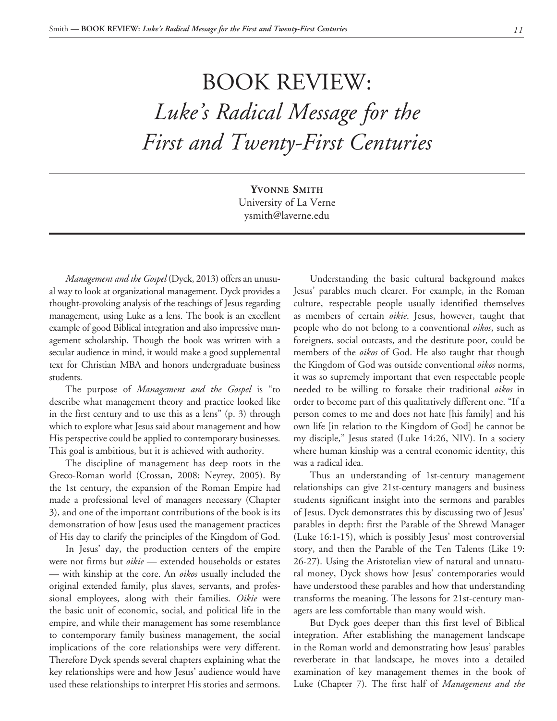## BOOK REVIEW: *Luke's Radical Message for the First and Twenty-First Centuries*

**Yvonne Smith** University of La Verne ysmith@laverne.edu

*Management and the Gospel* (Dyck, 2013) offers an unusual way to look at organizational management. Dyck provides a thought-provoking analysis of the teachings of Jesus regarding management, using Luke as a lens. The book is an excellent example of good Biblical integration and also impressive management scholarship. Though the book was written with a secular audience in mind, it would make a good supplemental text for Christian MBA and honors undergraduate business students.

The purpose of *Management and the Gospel* is "to describe what management theory and practice looked like in the first century and to use this as a lens" (p. 3) through which to explore what Jesus said about management and how His perspective could be applied to contemporary businesses. This goal is ambitious, but it is achieved with authority.

The discipline of management has deep roots in the Greco-Roman world (Crossan, 2008; Neyrey, 2005). By the 1st century, the expansion of the Roman Empire had made a professional level of managers necessary (Chapter 3), and one of the important contributions of the book is its demonstration of how Jesus used the management practices of His day to clarify the principles of the Kingdom of God.

In Jesus' day, the production centers of the empire were not firms but *oikie* — extended households or estates — with kinship at the core. An *oikos* usually included the original extended family, plus slaves, servants, and professional employees, along with their families. *Oikie* were the basic unit of economic, social, and political life in the empire, and while their management has some resemblance to contemporary family business management, the social implications of the core relationships were very different. Therefore Dyck spends several chapters explaining what the key relationships were and how Jesus' audience would have used these relationships to interpret His stories and sermons.

Understanding the basic cultural background makes Jesus' parables much clearer. For example, in the Roman culture, respectable people usually identified themselves as members of certain *oikie*. Jesus, however, taught that people who do not belong to a conventional *oikos*, such as foreigners, social outcasts, and the destitute poor, could be members of the *oikos* of God. He also taught that though the Kingdom of God was outside conventional *oikos* norms, it was so supremely important that even respectable people needed to be willing to forsake their traditional *oikos* in order to become part of this qualitatively different one. "If a person comes to me and does not hate [his family] and his own life [in relation to the Kingdom of God] he cannot be my disciple," Jesus stated (Luke 14:26, NIV). In a society where human kinship was a central economic identity, this was a radical idea.

Thus an understanding of 1st-century management relationships can give 21st-century managers and business students significant insight into the sermons and parables of Jesus. Dyck demonstrates this by discussing two of Jesus' parables in depth: first the Parable of the Shrewd Manager (Luke 16:1-15), which is possibly Jesus' most controversial story, and then the Parable of the Ten Talents (Like 19: 26-27). Using the Aristotelian view of natural and unnatural money, Dyck shows how Jesus' contemporaries would have understood these parables and how that understanding transforms the meaning. The lessons for 21st-century managers are less comfortable than many would wish.

But Dyck goes deeper than this first level of Biblical integration. After establishing the management landscape in the Roman world and demonstrating how Jesus' parables reverberate in that landscape, he moves into a detailed examination of key management themes in the book of Luke (Chapter 7). The first half of *Management and the*